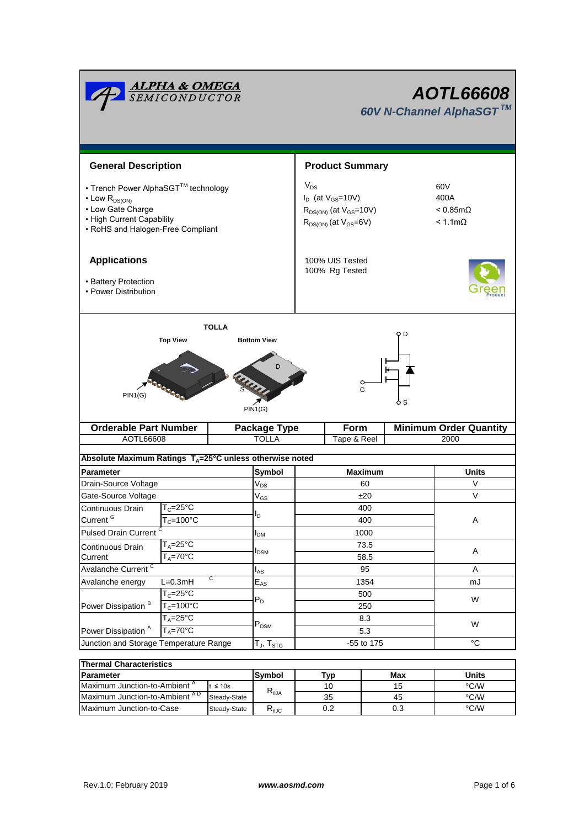| <u><b>ALPHA &amp; OMEGA</b><br/>SEMICONDUCTOR</u><br>AOTL66608<br>60V N-Channel AlphaSGT™                                                              |                                                                 |                                         |                                                                                                           |                                   |                     |    |                                                              |                                       |  |
|--------------------------------------------------------------------------------------------------------------------------------------------------------|-----------------------------------------------------------------|-----------------------------------------|-----------------------------------------------------------------------------------------------------------|-----------------------------------|---------------------|----|--------------------------------------------------------------|---------------------------------------|--|
| <b>General Description</b>                                                                                                                             |                                                                 |                                         |                                                                                                           | <b>Product Summary</b>            |                     |    |                                                              |                                       |  |
| • Trench Power AlphaSGT™ technology<br>$\cdot$ Low $R_{DS(ON)}$<br>• Low Gate Charge<br>• High Current Capability<br>• RoHS and Halogen-Free Compliant |                                                                 |                                         | $V_{DS}$<br>$I_D$ (at $V_{GS}$ =10V)<br>$R_{DS(ON)}$ (at $V_{GS}$ =10V)<br>$R_{DS(ON)}$ (at $V_{GS}=6V$ ) |                                   |                     |    | 60V<br>400A<br>$< 0.85 \text{m}\Omega$<br>$< 1.1$ m $\Omega$ |                                       |  |
| <b>Applications</b><br>• Battery Protection<br>• Power Distribution                                                                                    |                                                                 |                                         |                                                                                                           | 100% UIS Tested<br>100% Rg Tested |                     |    |                                                              |                                       |  |
| <b>TOLLA</b><br>Q D                                                                                                                                    |                                                                 |                                         |                                                                                                           |                                   |                     |    |                                                              |                                       |  |
| PIN1(G)                                                                                                                                                |                                                                 | PIN1(G)                                 | D                                                                                                         |                                   |                     | G  | o s                                                          |                                       |  |
| <b>Orderable Part Number</b><br>AOTL66608                                                                                                              |                                                                 |                                         | <b>Package Type</b><br><b>TOLLA</b>                                                                       |                                   | Form<br>Tape & Reel |    |                                                              | <b>Minimum Order Quantity</b><br>2000 |  |
|                                                                                                                                                        |                                                                 |                                         |                                                                                                           |                                   |                     |    |                                                              |                                       |  |
| Absolute Maximum Ratings T <sub>A</sub> =25°C unless otherwise noted                                                                                   |                                                                 |                                         |                                                                                                           |                                   |                     |    |                                                              |                                       |  |
| <b>Parameter</b>                                                                                                                                       |                                                                 |                                         | Symbol                                                                                                    | <b>Maximum</b>                    |                     |    | <b>Units</b>                                                 |                                       |  |
| Drain-Source Voltage                                                                                                                                   |                                                                 | $\rm V_{DS}$                            |                                                                                                           | 60                                |                     |    |                                                              | $\vee$                                |  |
| Gate-Source Voltage                                                                                                                                    |                                                                 | $\ensuremath{\mathsf{V}}_{\mathsf{GS}}$ |                                                                                                           | ±20                               |                     |    |                                                              | $\vee$                                |  |
| Continuous Drain<br>Current <sup>G</sup>                                                                                                               | $T_c = 25$ °C<br>$T_c = 100^{\circ}C$                           | סי                                      |                                                                                                           | 400<br>400                        |                     |    |                                                              | Α                                     |  |
| <b>Pulsed Drain Current</b>                                                                                                                            |                                                                 |                                         |                                                                                                           | 1000                              |                     |    |                                                              |                                       |  |
|                                                                                                                                                        | $T_A = 25$ °C                                                   | $I_{DM}$                                |                                                                                                           | 73.5                              |                     |    |                                                              |                                       |  |
| Current                                                                                                                                                | Continuous Drain<br>$T_A = 70^\circ \text{C}$                   |                                         | <b>I</b> <sub>DSM</sub>                                                                                   | 58.5                              |                     |    | Α                                                            |                                       |  |
| Avalanche Current <sup>C</sup>                                                                                                                         |                                                                 | $I_{AS}$                                |                                                                                                           | 95                                |                     |    | Α                                                            |                                       |  |
| С<br>$L=0.3mH$<br>Avalanche energy                                                                                                                     |                                                                 | $E_{AS}$                                | 1354                                                                                                      |                                   |                     | mJ |                                                              |                                       |  |
|                                                                                                                                                        | $T_c = 25$ °C<br>$P_D$<br>$T_c = 100$ °C<br>$T_A = 25^{\circ}C$ |                                         |                                                                                                           | 500                               |                     | W  |                                                              |                                       |  |
| Power Dissipation <sup>B</sup>                                                                                                                         |                                                                 |                                         |                                                                                                           | 250<br>8.3                        |                     |    |                                                              |                                       |  |
|                                                                                                                                                        |                                                                 |                                         | $\mathsf{P}_\mathsf{DSM}$                                                                                 |                                   |                     |    | W                                                            |                                       |  |
| $T_A = 70^\circ C$<br>Power Dissipation <sup>A</sup>                                                                                                   |                                                                 |                                         |                                                                                                           | 5.3                               |                     |    |                                                              |                                       |  |
| Junction and Storage Temperature Range                                                                                                                 |                                                                 |                                         | $T_J$ , $T_{STG}$                                                                                         | -55 to 175                        |                     |    | $^{\circ}C$                                                  |                                       |  |
| <b>Thermal Characteristics</b>                                                                                                                         |                                                                 |                                         |                                                                                                           |                                   |                     |    |                                                              |                                       |  |
| <b>Daramotor</b>                                                                                                                                       |                                                                 |                                         | <b>Symbol</b>                                                                                             |                                   | T <sub>vm</sub>     |    | Moy                                                          | I <sub>line</sub>                     |  |

| <b>Thermal Characteristics</b>            |              |                |     |       |      |  |  |  |  |
|-------------------------------------------|--------------|----------------|-----|-------|------|--|--|--|--|
| <b>IParameter</b>                         | Symbol       | Tvp            | Max | Jnits |      |  |  |  |  |
| Maximum Junction-to-Ambient <sup>A</sup>  | $t \leq 10s$ | $R_{\theta$ JA |     | 15    | °C/W |  |  |  |  |
| Maximum Junction-to-Ambient <sup>AD</sup> | Steady-State |                | 35  | 45    | °C/W |  |  |  |  |
| Maximum Junction-to-Case                  | Steady-State | ৲⊕JC           | 0.2 | 0.3   | °C/W |  |  |  |  |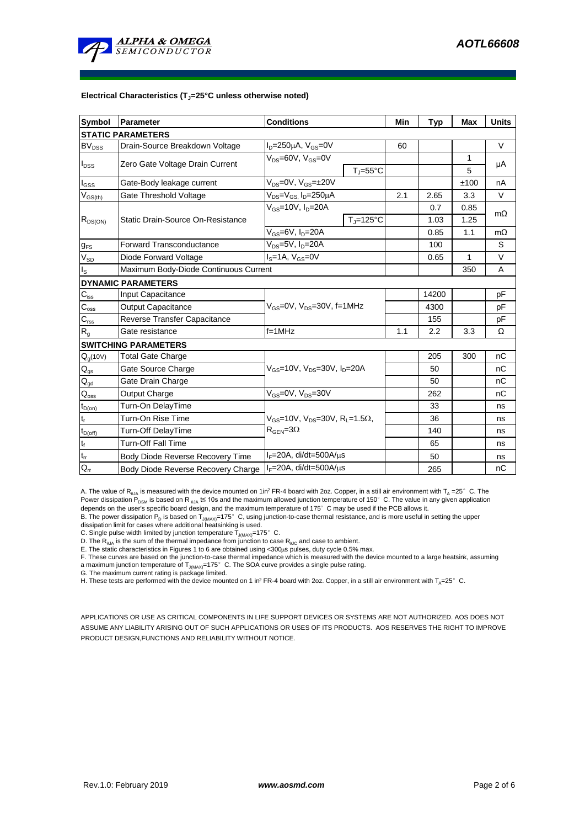

#### **Electrical Characteristics (TJ=25°C unless otherwise noted)**

| <b>Symbol</b>               | Parameter                             | <b>Conditions</b>                                            | Min                | <b>Typ</b> | <b>Max</b> | <b>Units</b> |           |  |  |
|-----------------------------|---------------------------------------|--------------------------------------------------------------|--------------------|------------|------------|--------------|-----------|--|--|
| <b>STATIC PARAMETERS</b>    |                                       |                                                              |                    |            |            |              |           |  |  |
| <b>BV<sub>DSS</sub></b>     | Drain-Source Breakdown Voltage        | $I_D = 250 \mu A$ , $V_{GS} = 0V$                            | 60                 |            |            | $\vee$       |           |  |  |
| $I_{DSS}$                   | Zero Gate Voltage Drain Current       | $V_{DS} = 60V$ , $V_{GS} = 0V$                               |                    |            |            | 1            | μA        |  |  |
|                             |                                       |                                                              | $T_{\rm J}$ =55°C  |            |            | 5            |           |  |  |
| $\mathsf{I}_{\mathsf{GSS}}$ | Gate-Body leakage current             | $V_{DS} = 0V$ , $V_{GS} = \pm 20V$                           |                    |            |            | ±100         | nA        |  |  |
| $V_{GS(th)}$                | Gate Threshold Voltage                | $V_{DS} = V_{GS}$ , $I_D = 250 \mu A$                        |                    | 2.1        | 2.65       | 3.3          | $\vee$    |  |  |
| $R_{DS(ON)}$                | Static Drain-Source On-Resistance     | $V_{GS}$ =10V, $I_{D}$ =20A                                  |                    |            | 0.7        | 0.85         | $m\Omega$ |  |  |
|                             |                                       |                                                              | $T_{\rm J}$ =125°C |            | 1.03       | 1.25         |           |  |  |
|                             |                                       | $V_{GS}$ =6V, $I_{D}$ =20A                                   |                    | 0.85       | 1.1        | $m\Omega$    |           |  |  |
| $g_{FS}$                    | <b>Forward Transconductance</b>       | $V_{DS} = 5V$ , $I_D = 20A$                                  |                    |            | 100        |              | S         |  |  |
| $V_{SD}$                    | Diode Forward Voltage                 | $IS=1A, VGS=0V$                                              |                    |            | 0.65       | $\mathbf{1}$ | V         |  |  |
| ls                          | Maximum Body-Diode Continuous Current |                                                              |                    |            |            | 350          | A         |  |  |
|                             | <b>DYNAMIC PARAMETERS</b>             |                                                              |                    |            |            |              |           |  |  |
| $C_{\text{iss}}$            | Input Capacitance                     |                                                              |                    |            | 14200      |              | pF        |  |  |
| $C_{\rm oss}$               | <b>Output Capacitance</b>             | $V_{GS}$ =0V, $V_{DS}$ =30V, f=1MHz                          |                    | 4300       |            | рF           |           |  |  |
| $C_{\text{rss}}$            | Reverse Transfer Capacitance          |                                                              |                    | 155        |            | pF           |           |  |  |
| $R_{g}$                     | Gate resistance                       | $f = 1$ MHz                                                  |                    | 1.1        | 2.2        | 3.3          | Ω         |  |  |
|                             | <b>SWITCHING PARAMETERS</b>           |                                                              |                    |            |            |              |           |  |  |
| Q <sub>g</sub> (10V)        | <b>Total Gate Charge</b>              |                                                              |                    |            | 205        | 300          | nC        |  |  |
| $Q_{gs}$                    | Gate Source Charge                    | $V_{GS}$ =10V, $V_{DS}$ =30V, $I_{D}$ =20A                   |                    |            | 50         |              | nC        |  |  |
| $Q_{gd}$                    | Gate Drain Charge                     |                                                              |                    |            | 50         |              | nC        |  |  |
| $\mathsf{Q}_{\mathsf{oss}}$ | Output Charge                         | $V_{GS}$ =0V, $V_{DS}$ =30V                                  |                    |            | 262        |              | nC        |  |  |
| $t_{D(on)}$                 | Turn-On DelayTime                     |                                                              |                    |            | 33         |              | ns        |  |  |
| t,                          | Turn-On Rise Time                     | $V_{GS}$ =10V, $V_{DS}$ =30V, R <sub>1</sub> =1.5 $\Omega$ , |                    |            | 36         |              | ns        |  |  |
| $t_{D(off)}$                | Turn-Off DelayTime                    | $R_{\text{GEN}} = 3\Omega$                                   |                    |            | 140        |              | ns        |  |  |
| $\mathsf{t}_{\mathsf{f}}$   | <b>Turn-Off Fall Time</b>             |                                                              |                    |            | 65         |              | ns        |  |  |
| $\mathsf{t}_\mathsf{rr}$    | Body Diode Reverse Recovery Time      | $I_F = 20A$ , di/dt=500A/ $\mu$ s                            |                    |            | 50         |              | ns        |  |  |
| $Q_{rr}$                    | Body Diode Reverse Recovery Charge    | $I_F = 20A$ , di/dt=500A/ $\mu$ s                            |                    |            | 265        |              | nC        |  |  |

A. The value of  ${\sf R}_{\sf qJA}$  is measured with the device mounted on 1in<sup>2</sup> FR-4 board with 2oz. Copper, in a still air environment with T<sub>A</sub> =25°C. The Power dissipation P<sub>DSM</sub> is based on R <sub>0JA</sub> t≤ 10s and the maximum allowed junction temperature of 150°C. The value in any given application depends on the user's specific board design, and the maximum temperature of 175°C may be used if the PCB allows it.

B. The power dissipation P<sub>D</sub> is based on T<sub>J(MAX)</sub>=175°C, using junction-to-case thermal resistance, and is more useful in setting the upper<br>dissipation limit for cases where additional heatsinking is used.

C. Single pulse width limited by junction temperature  $T_{J(MAX)} = 175^\circ$  C.

D. The R<sub>aJA</sub> is the sum of the thermal impedance from junction to case R<sub>aJC</sub> and case to ambient.<br>E. The static characteristics in Figures 1 to 6 are obtained using <300µs pulses, duty cycle 0.5% max.

F. These curves are based on the junction-to-case thermal impedance which is measured with the device mounted to a large heatsirk, assuming<br>a maximum junction temperature of T<sub>J(MAX)</sub>=175° C. The SOA curve provides a singl

G. The maximum current rating is package limited.

H. These tests are performed with the device mounted on 1 in<sup>2</sup> FR-4 board with 2oz. Copper, in a still air environment with T<sub>A</sub>=25°C.

APPLICATIONS OR USE AS CRITICAL COMPONENTS IN LIFE SUPPORT DEVICES OR SYSTEMS ARE NOT AUTHORIZED. AOS DOES NOT ASSUME ANY LIABILITY ARISING OUT OF SUCH APPLICATIONS OR USES OF ITS PRODUCTS. AOS RESERVES THE RIGHT TO IMPROVE PRODUCT DESIGN,FUNCTIONS AND RELIABILITY WITHOUT NOTICE.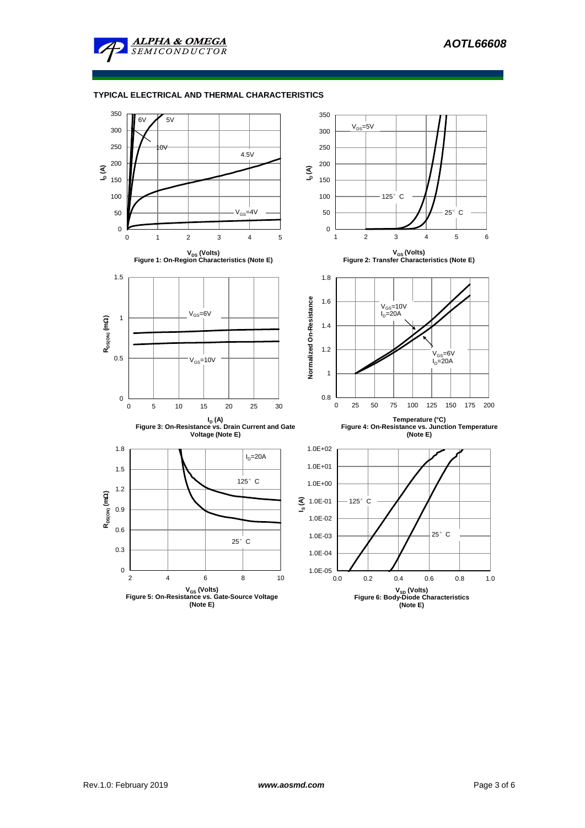

## **TYPICAL ELECTRICAL AND THERMAL CHARACTERISTICS**

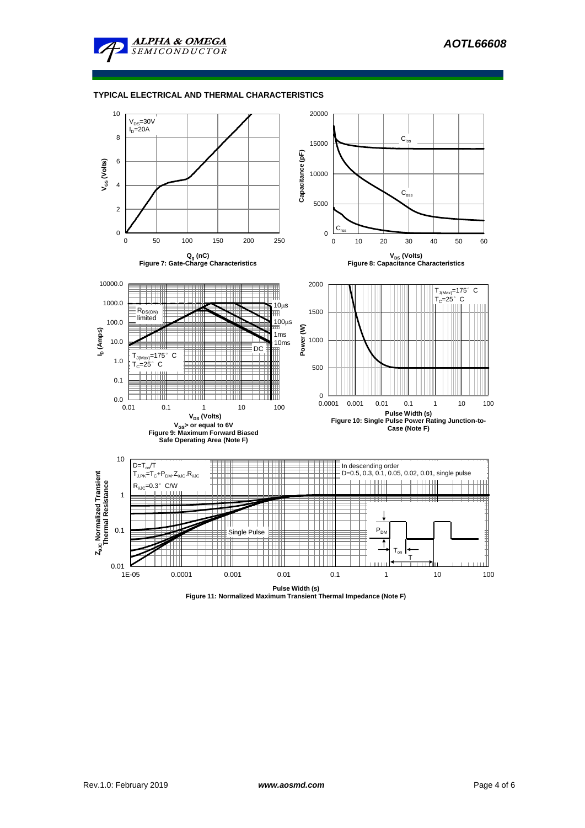

#### **TYPICAL ELECTRICAL AND THERMAL CHARACTERISTICS**

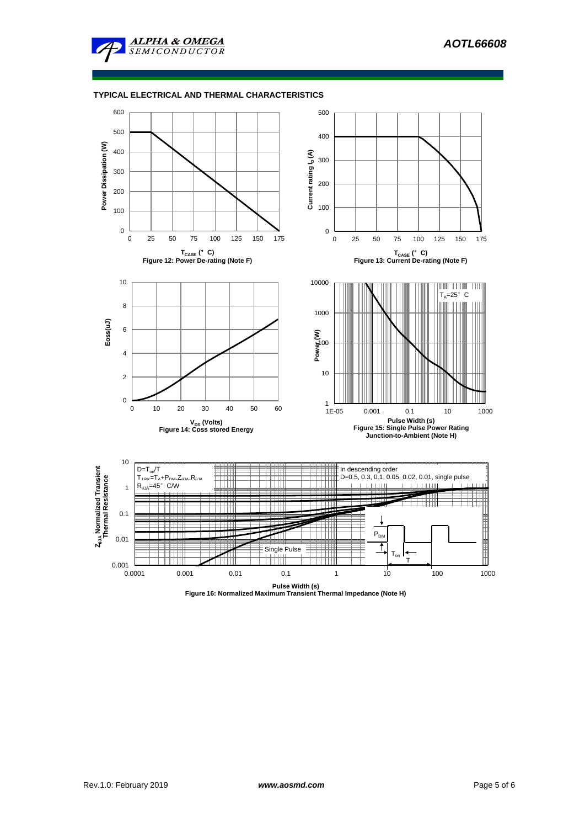

### **TYPICAL ELECTRICAL AND THERMAL CHARACTERISTICS**